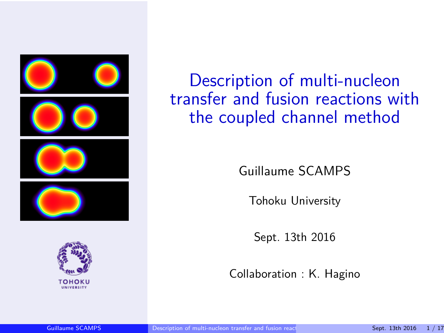<span id="page-0-0"></span>



Description of multi-nucleon transfer and fusion reactions with the coupled channel method

Guillaume SCAMPS

Tohoku University

Sept. 13th 2016

Collaboration : K. Hagino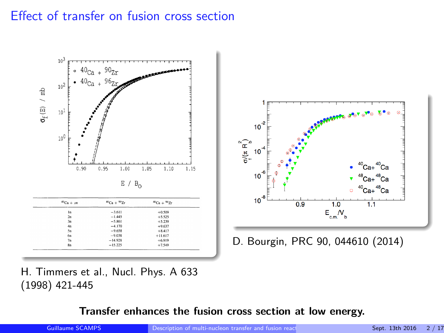## Effect of transfer on fusion cross section



H. Timmers et al., Nucl. Phys. A 633 (1998) 421-445

**Transfer enhances the fusion cross section at low energy.**

Guillaume SCAMPS [Description of multi-nucleon transfer and fusion reactions with the coupled channel method](#page-0-0) Channel Method 2 / 17



D. Bourgin, PRC 90, 044610 (2014)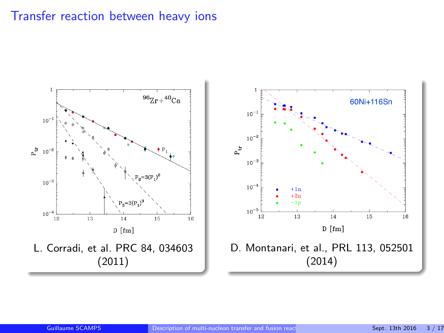#### Transfer reaction between heavy ions

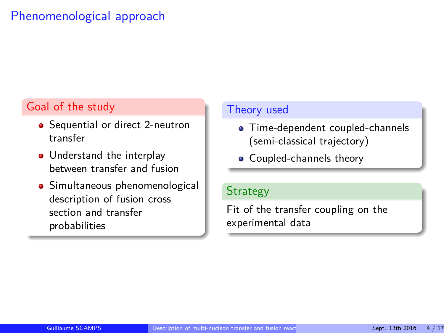## Phenomenological approach

#### Goal of the study

- Sequential or direct 2-neutron transfer
- Understand the interplay between transfer and fusion
- **•** Simultaneous phenomenological description of fusion cross section and transfer probabilities

#### Theory used

- **Time-dependent coupled-channels** (semi-classical trajectory)
- Coupled-channels theory

#### **Strategy**

Fit of the transfer coupling on the experimental data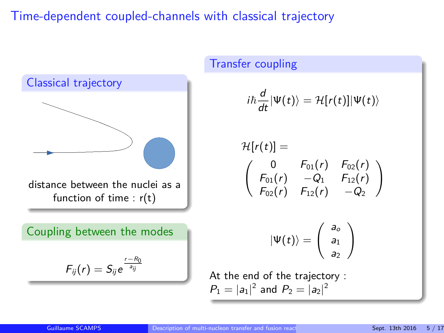#### Time-dependent coupled-channels with classical trajectory



# Transfer coupling  $i\hbar \frac{d}{dt}|\Psi(t)\rangle = \mathcal{H}[r(t)]|\Psi(t)\rangle$  $\mathcal{H}[r(t)] =$  $(0 \t F_{01}(r) \t F_{02}(r))$  $F_{01}(r) -Q_1 F_{12}(r)$  $F_{02}(r)$   $F_{12}(r)$   $-Q_2$  $\setminus$  $|\Psi(t)\rangle =$  $\int a_c$  $a<sub>1</sub>$  $a<sub>2</sub>$  $\setminus$ At the end of the trajectory :  $P_1 = |a_1|^2$  and  $P_2 = |a_2|^2$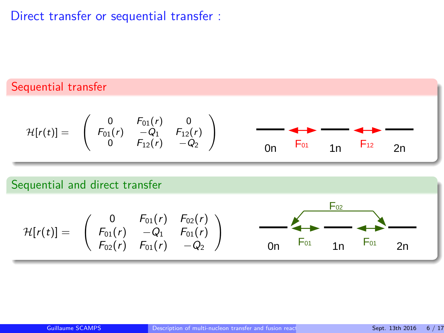## Direct transfer or sequential transfer :

## Sequential transfer

$$
\mathcal{H}[r(t)] = \left(\begin{array}{cccc} 0 & F_{01}(r) & 0 \\ F_{01}(r) & -Q_1 & F_{12}(r) \\ 0 & F_{12}(r) & -Q_2 \end{array}\right) \qquad \longrightarrow \qquad \longrightarrow \qquad \longrightarrow \qquad \longrightarrow \qquad \longrightarrow \qquad \longrightarrow \qquad \longrightarrow \qquad
$$

#### Sequential and direct transfer

$$
\mathcal{H}[r(t)] = \left(\begin{array}{cccc} 0 & F_{01}(r) & F_{02}(r) \\ F_{01}(r) & -Q_1 & F_{01}(r) \\ F_{02}(r) & F_{01}(r) & -Q_2 \end{array}\right) \qquad \qquad \overbrace{\hspace{1cm}}^{\bullet} \overbrace{\hspace{1cm}}^{\bullet} \overbrace{\hspace{1cm}}^{\bullet} \overbrace{\hspace{1cm}}^{\bullet} \overbrace{\hspace{1cm}}^{\bullet} \overbrace{\hspace{1cm}}^{\bullet} \overbrace{\hspace{1cm}}^{\bullet} \overbrace{\hspace{1cm}}^{\bullet} \overbrace{\hspace{1cm}}^{\bullet} \overbrace{\hspace{1cm}}^{\bullet} \overbrace{\hspace{1cm}}^{\bullet} \overbrace{\hspace{1cm}}^{\bullet} \overbrace{\hspace{1cm}}^{\bullet} \overbrace{\hspace{1cm}}^{\bullet} \overbrace{\hspace{1cm}}^{\bullet} \overbrace{\hspace{1cm}}^{\bullet} \overbrace{\hspace{1cm}}^{\bullet} \overbrace{\hspace{1cm}}^{\bullet} \overbrace{\hspace{1cm}}^{\bullet} \overbrace{\hspace{1cm}}^{\bullet} \overbrace{\hspace{1cm}}^{\bullet} \overbrace{\hspace{1cm}}^{\bullet} \overbrace{\hspace{1cm}}^{\bullet} \overbrace{\hspace{1cm}}^{\bullet} \overbrace{\hspace{1cm}}^{\bullet} \overbrace{\hspace{1cm}}^{\bullet} \overbrace{\hspace{1cm}}^{\bullet} \overbrace{\hspace{1cm}}^{\bullet} \overbrace{\hspace{1cm}}^{\bullet} \overbrace{\hspace{1cm}}^{\bullet} \overbrace{\hspace{1cm}}^{\bullet} \overbrace{\hspace{1cm}}^{\bullet} \overbrace{\hspace{1cm}}^{\bullet} \overbrace{\hspace{1cm}}^{\bullet} \overbrace{\hspace{1cm}}^{\bullet} \overbrace{\hspace{1cm}}^{\bullet} \overbrace{\hspace{1cm}}^{\bullet} \overbrace{\hspace{1cm}}^{\bullet} \overbrace{\hspace{1cm}}^{\bullet} \overbrace{\hspace{1cm}}^{\bullet} \overbrace{\hspace{1cm}}^{\bullet} \overbrace{\hspace{1cm}}^{\bullet} \overbrace{\hspace{1cm}}^{\bullet} \overbrace{\hspace{1cm}}^{\bullet} \overbrace{\hspace{1cm}}^{\bullet} \overbrace{\hspace{1cm}}^{\bullet} \overbrace{\hspace{1cm}}^{\bullet} \overbrace{\hspace{1cm}}
$$

 $F_{02}$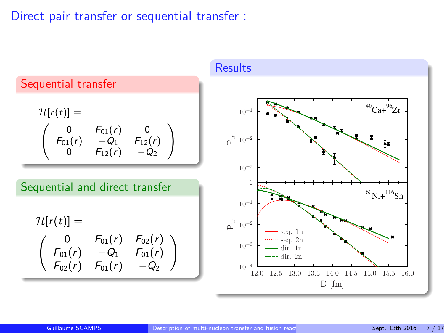#### Direct pair transfer or sequential transfer :

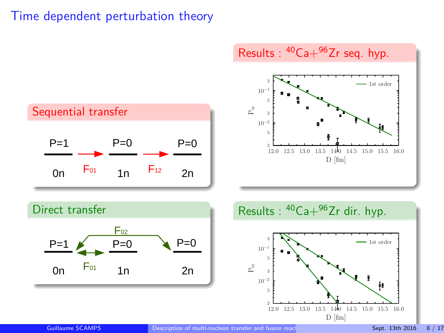







Guillaume SCAMPS **[Description of multi-nucleon transfer and fusion reactions with the coupled channel method](#page-0-0) Sept. 13th 2016 8 / 17th Coupled channel method Sept. 13th 2016 8 / 17th 2016 8 / 17th 2016 8 / 17th 2016 8 / 17t**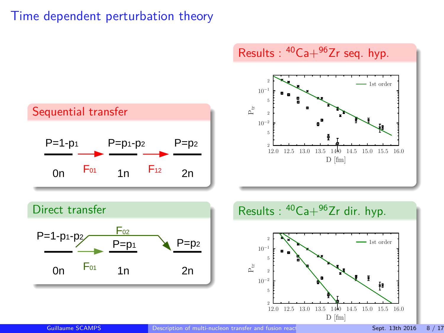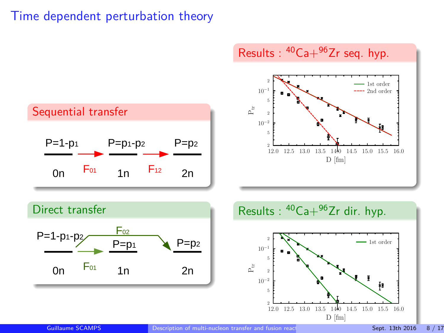

Guillaume SCAMPS **[Description of multi-nucleon transfer and fusion reactions with the coupled channel method](#page-0-0) Sept. 13th 2016 8 / 17th Coupled channel method Sept. 13th 2016 8 / 17th 2016 8 / 17th 2016 8 / 17th 2016 8 / 17t**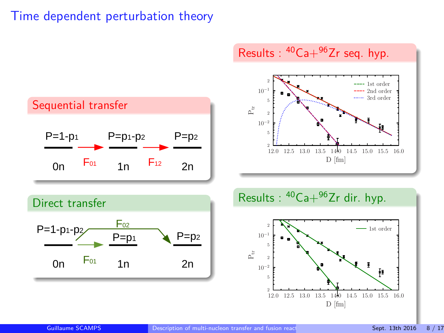







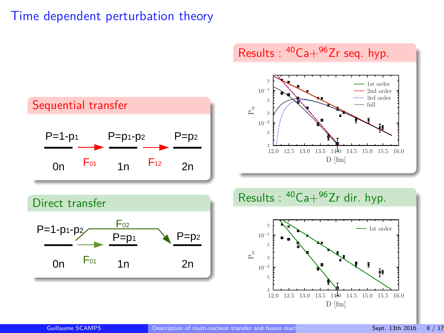







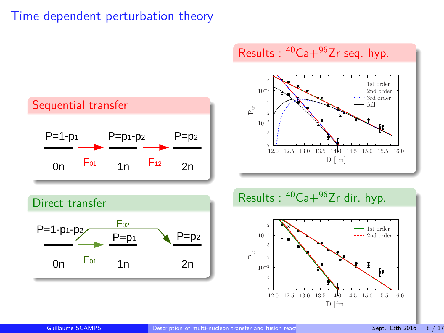







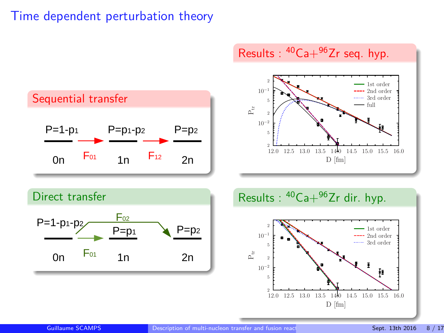



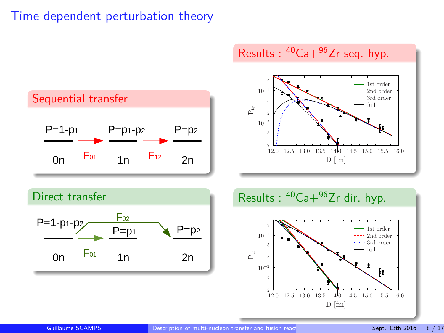





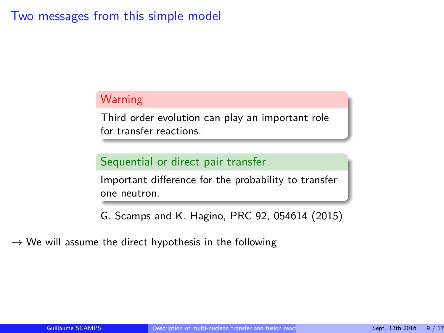#### Two messages from this simple model

#### **Warning**

Third order evolution can play an important role for transfer reactions.

#### Sequential or direct pair transfer

Important difference for the probability to transfer one neutron.

G. Scamps and K. Hagino, PRC 92, 054614 (2015)

 $\rightarrow$  We will assume the direct hypothesis in the following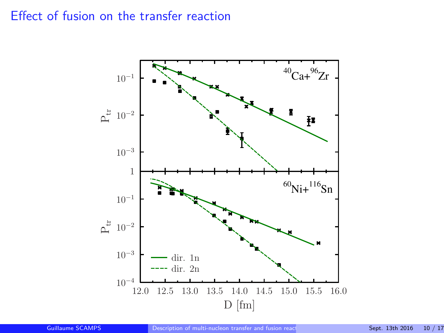## Effect of fusion on the transfer reaction

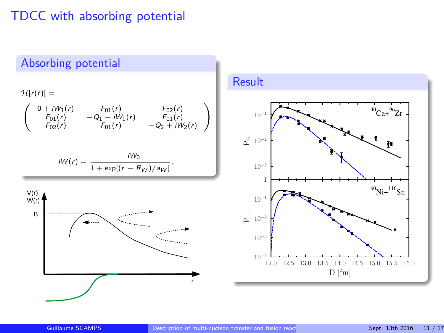## TDCC with absorbing potential

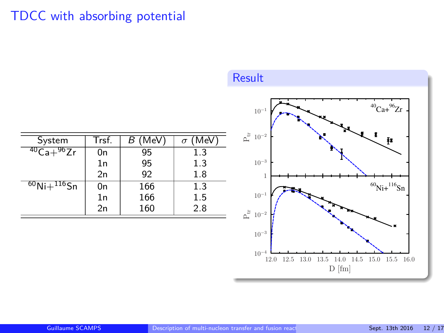# TDCC with absorbing potential



| System                  | Trsf. | (MeV)<br>В | (MeV)<br>$\sigma$ |
|-------------------------|-------|------------|-------------------|
| $^{40}$ Ca $+^{96}$ Zr  | 0n    | 95         | 1.3               |
|                         | 1n    | 95         | 1.3               |
|                         | 2n    | 92         | 1.8               |
| $^{60}$ Ni+ $^{116}$ Sn | 0n    | 166        | 1.3               |
|                         | 1n    | 166        | 1.5               |
|                         | 2n    | 160        | 2.8               |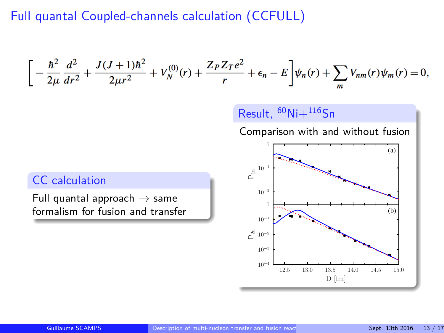## Full quantal Coupled-channels calculation (CCFULL)

$$
\bigg[-\frac{\hbar^2}{2\mu}\frac{d^2}{dr^2}+\frac{J(J+1)\hbar^2}{2\mu r^2}+V_N^{(0)}(r)+\frac{Z_PZ_Te^2}{r}+\epsilon_n-E\bigg]\psi_n(r)+\sum_mV_{nm}(r)\psi_m(r)=0,
$$

Result,  ${}^{60}$ Ni $+{}^{116}$ Sn

Comparison with and without fusion



## CC calculation

Full quantal approach  $\rightarrow$  same formalism for fusion and transfer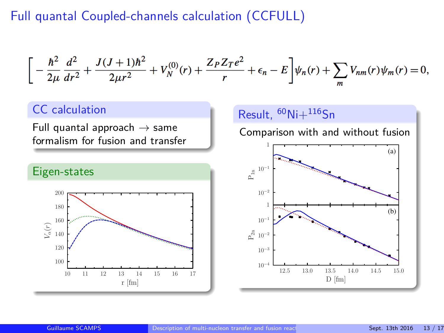## Full quantal Coupled-channels calculation (CCFULL)

$$
\bigg[-\frac{\hbar^2}{2\mu}\frac{d^2}{dr^2}+\frac{J(J+1)\hbar^2}{2\mu r^2}+V_N^{(0)}(r)+\frac{Z_PZ_Te^2}{r}+\epsilon_n-E\bigg]\psi_n(r)+\sum_mV_{nm}(r)\psi_m(r)=0,
$$

#### CC calculation

Full quantal approach  $\rightarrow$  same formalism for fusion and transfer



#### Result,  $^{60}$ Ni $+^{116}$ Sn

Comparison with and without fusion

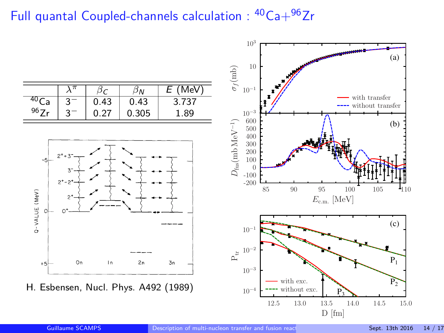# Full quantal Coupled-channels calculation :  $40Ca + 96Zr$

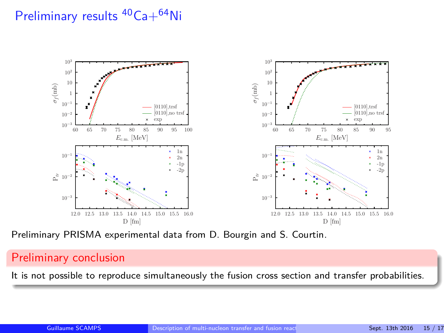# Preliminary results <sup>40</sup>Ca+<sup>64</sup>Ni



Preliminary PRISMA experimental data from D. Bourgin and S. Courtin.

#### Preliminary conclusion

It is not possible to reproduce simultaneously the fusion cross section and transfer probabilities.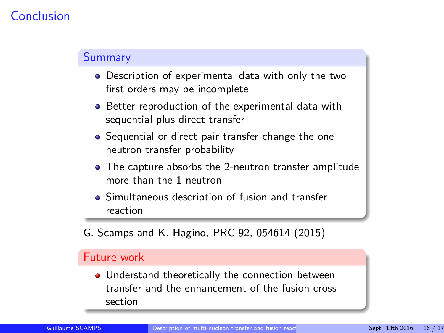#### Conclusion

#### **Summary**

- Description of experimental data with only the two first orders may be incomplete
- Better reproduction of the experimental data with sequential plus direct transfer
- **•** Sequential or direct pair transfer change the one neutron transfer probability
- The capture absorbs the 2-neutron transfer amplitude more than the 1-neutron
- Simultaneous description of fusion and transfer reaction
- G. Scamps and K. Hagino, PRC 92, 054614 (2015)

#### Future work

• Understand theoretically the connection between transfer and the enhancement of the fusion cross section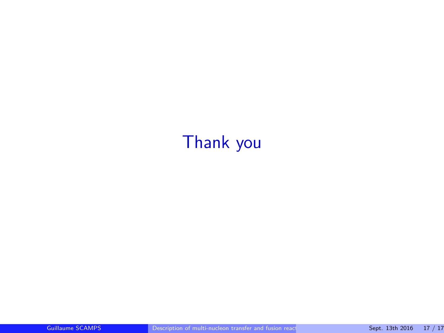# <span id="page-24-0"></span>Thank you